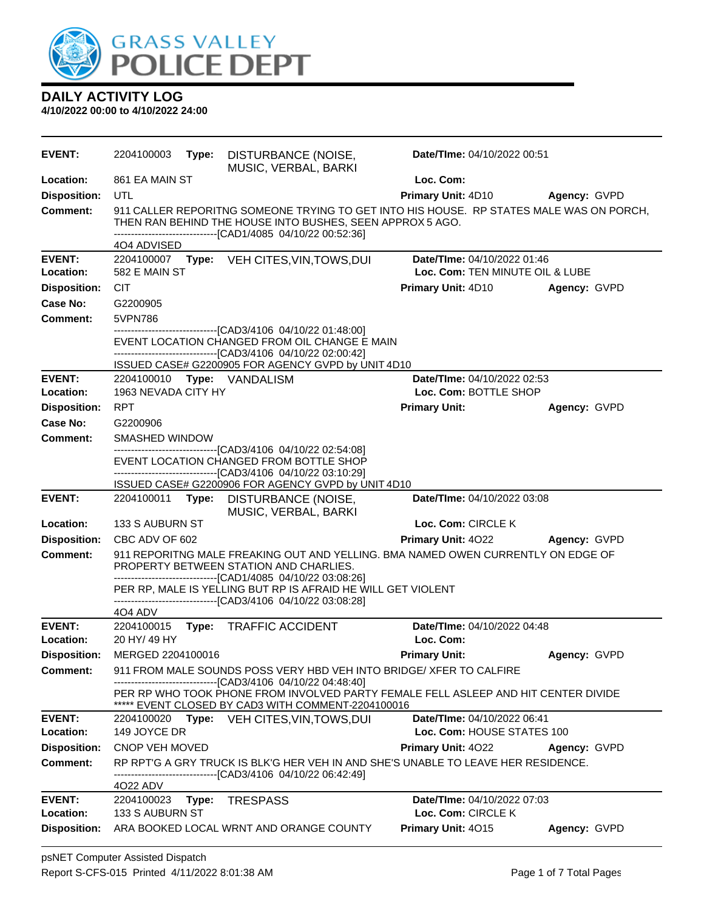

| <b>EVENT:</b>              | 2204100003                                                                                                                                                                                                          | Type: | DISTURBANCE (NOISE,<br>MUSIC, VERBAL, BARKI                                                                                                                                                                                        | Date/TIme: 04/10/2022 00:51                                    |              |
|----------------------------|---------------------------------------------------------------------------------------------------------------------------------------------------------------------------------------------------------------------|-------|------------------------------------------------------------------------------------------------------------------------------------------------------------------------------------------------------------------------------------|----------------------------------------------------------------|--------------|
| Location:                  | 861 EA MAIN ST                                                                                                                                                                                                      |       |                                                                                                                                                                                                                                    | Loc. Com:                                                      |              |
| <b>Disposition:</b>        | <b>UTL</b>                                                                                                                                                                                                          |       |                                                                                                                                                                                                                                    | <b>Primary Unit: 4D10</b>                                      | Agency: GVPD |
| <b>Comment:</b>            | 911 CALLER REPORITNG SOMEONE TRYING TO GET INTO HIS HOUSE. RP STATES MALE WAS ON PORCH,<br>THEN RAN BEHIND THE HOUSE INTO BUSHES, SEEN APPROX 5 AGO.<br>------------------------------[CAD1/4085 04/10/22 00:52:36] |       |                                                                                                                                                                                                                                    |                                                                |              |
|                            | 4O4 ADVISED                                                                                                                                                                                                         |       |                                                                                                                                                                                                                                    |                                                                |              |
| <b>EVENT:</b><br>Location: | 582 E MAIN ST                                                                                                                                                                                                       |       | 2204100007 Type: VEH CITES, VIN, TOWS, DUI                                                                                                                                                                                         | Date/TIme: 04/10/2022 01:46<br>Loc. Com: TEN MINUTE OIL & LUBE |              |
| <b>Disposition:</b>        | <b>CIT</b>                                                                                                                                                                                                          |       |                                                                                                                                                                                                                                    | <b>Primary Unit: 4D10</b>                                      | Agency: GVPD |
| <b>Case No:</b>            | G2200905                                                                                                                                                                                                            |       |                                                                                                                                                                                                                                    |                                                                |              |
| Comment:                   | 5VPN786                                                                                                                                                                                                             |       |                                                                                                                                                                                                                                    |                                                                |              |
|                            |                                                                                                                                                                                                                     |       | ------------------------------[CAD3/4106_04/10/22 01:48:00]<br>EVENT LOCATION CHANGED FROM OIL CHANGE E MAIN<br>-------------------------------[CAD3/4106 04/10/22 02:00:42]<br>ISSUED CASE# G2200905 FOR AGENCY GVPD by UNIT 4D10 |                                                                |              |
| <b>EVENT:</b>              |                                                                                                                                                                                                                     |       | 2204100010 Type: VANDALISM                                                                                                                                                                                                         | Date/TIme: 04/10/2022 02:53                                    |              |
| Location:                  | 1963 NEVADA CITY HY                                                                                                                                                                                                 |       |                                                                                                                                                                                                                                    | Loc. Com: BOTTLE SHOP                                          |              |
| <b>Disposition:</b>        | <b>RPT</b>                                                                                                                                                                                                          |       |                                                                                                                                                                                                                                    | <b>Primary Unit:</b>                                           | Agency: GVPD |
| Case No:                   | G2200906                                                                                                                                                                                                            |       |                                                                                                                                                                                                                                    |                                                                |              |
| Comment:                   | SMASHED WINDOW                                                                                                                                                                                                      |       |                                                                                                                                                                                                                                    |                                                                |              |
|                            |                                                                                                                                                                                                                     |       | -------------------------------[CAD3/4106 04/10/22 02:54:08]<br>EVENT LOCATION CHANGED FROM BOTTLE SHOP<br>------------------------------[CAD3/4106_04/10/22 03:10:29]                                                             |                                                                |              |
|                            |                                                                                                                                                                                                                     |       | ISSUED CASE# G2200906 FOR AGENCY GVPD by UNIT 4D10                                                                                                                                                                                 |                                                                |              |
| <b>EVENT:</b>              | Type: DISTURBANCE (NOISE,<br>Date/TIme: 04/10/2022 03:08<br>2204100011<br>MUSIC, VERBAL, BARKI                                                                                                                      |       |                                                                                                                                                                                                                                    |                                                                |              |
| Location:                  | 133 S AUBURN ST                                                                                                                                                                                                     |       |                                                                                                                                                                                                                                    | Loc. Com: CIRCLE K                                             |              |
| <b>Disposition:</b>        | CBC ADV OF 602                                                                                                                                                                                                      |       |                                                                                                                                                                                                                                    | Primary Unit: 4022                                             | Agency: GVPD |
| <b>Comment:</b>            | 911 REPORITNG MALE FREAKING OUT AND YELLING. BMA NAMED OWEN CURRENTLY ON EDGE OF<br>PROPERTY BETWEEN STATION AND CHARLIES.<br>------------------------------[CAD1/4085 04/10/22 03:08:26]                           |       |                                                                                                                                                                                                                                    |                                                                |              |
|                            | 404 ADV                                                                                                                                                                                                             |       | PER RP, MALE IS YELLING BUT RP IS AFRAID HE WILL GET VIOLENT<br>-------------------------------[CAD3/4106 04/10/22 03:08:28]                                                                                                       |                                                                |              |
| <b>EVENT:</b>              | 2204100015 Type:                                                                                                                                                                                                    |       | <b>TRAFFIC ACCIDENT</b>                                                                                                                                                                                                            | Date/TIme: 04/10/2022 04:48                                    |              |
| Location:                  | 20 HY/ 49 HY                                                                                                                                                                                                        |       |                                                                                                                                                                                                                                    | Loc. Com:                                                      |              |
| <b>Disposition:</b>        | MERGED 2204100016                                                                                                                                                                                                   |       |                                                                                                                                                                                                                                    | <b>Primary Unit:</b>                                           | Agency: GVPD |
| Comment:                   |                                                                                                                                                                                                                     |       | 911 FROM MALE SOUNDS POSS VERY HBD VEH INTO BRIDGE/ XFER TO CALFIRE                                                                                                                                                                |                                                                |              |
|                            |                                                                                                                                                                                                                     |       | -------[CAD3/4106 04/10/22 04:48:40]<br>PER RP WHO TOOK PHONE FROM INVOLVED PARTY FEMALE FELL ASLEEP AND HIT CENTER DIVIDE<br>***** EVENT CLOSED BY CAD3 WITH COMMENT-2204100016                                                   |                                                                |              |
| <b>EVENT:</b>              |                                                                                                                                                                                                                     |       | 2204100020 Type: VEH CITES, VIN, TOWS, DUI                                                                                                                                                                                         | Date/TIme: 04/10/2022 06:41                                    |              |
| Location:                  | 149 JOYCE DR<br>Loc. Com: HOUSE STATES 100                                                                                                                                                                          |       |                                                                                                                                                                                                                                    |                                                                |              |
| <b>Disposition:</b>        | CNOP VEH MOVED                                                                                                                                                                                                      |       |                                                                                                                                                                                                                                    | <b>Primary Unit: 4022</b>                                      | Agency: GVPD |
| <b>Comment:</b>            | 4022 ADV                                                                                                                                                                                                            |       | RP RPT'G A GRY TRUCK IS BLK'G HER VEH IN AND SHE'S UNABLE TO LEAVE HER RESIDENCE.<br>-------------------------------[CAD3/4106_04/10/22_06:42:49]                                                                                  |                                                                |              |
| <b>EVENT:</b><br>Location: | 2204100023 Type:<br>133 S AUBURN ST                                                                                                                                                                                 |       | <b>TRESPASS</b>                                                                                                                                                                                                                    | Date/TIme: 04/10/2022 07:03<br>Loc. Com: CIRCLE K              |              |
| <b>Disposition:</b>        |                                                                                                                                                                                                                     |       | ARA BOOKED LOCAL WRNT AND ORANGE COUNTY                                                                                                                                                                                            | Primary Unit: 4015                                             | Agency: GVPD |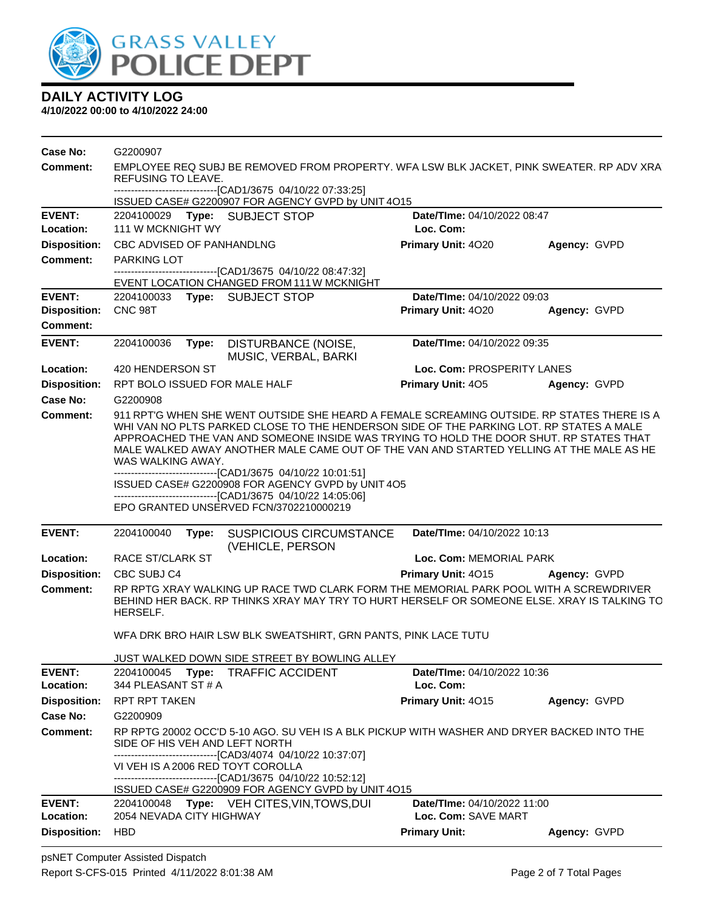

| <b>Comment:</b><br>EMPLOYEE REQ SUBJ BE REMOVED FROM PROPERTY. WFA LSW BLK JACKET, PINK SWEATER. RP ADV XRA<br>REFUSING TO LEAVE.<br>--------------------------------[CAD1/3675 04/10/22 07:33:25]<br>ISSUED CASE# G2200907 FOR AGENCY GVPD by UNIT 4O15<br>Date/TIme: 04/10/2022 08:47<br><b>EVENT:</b><br>2204100029 Type: SUBJECT STOP<br>111 W MCKNIGHT WY<br>Loc. Com:<br>Location:<br><b>Disposition:</b><br>CBC ADVISED OF PANHANDLNG<br>Primary Unit: 4020<br>Agency: GVPD<br><b>Comment:</b><br><b>PARKING LOT</b><br>-------------------------------[CAD1/3675_04/10/22_08:47:32]<br>EVENT LOCATION CHANGED FROM 111 W MCKNIGHT<br><b>EVENT:</b><br>Date/TIme: 04/10/2022 09:03<br>2204100033<br>Type: SUBJECT STOP<br><b>Disposition:</b><br>CNC <sub>98</sub> T<br>Primary Unit: 4020<br>Agency: GVPD<br><b>Comment:</b><br><b>EVENT:</b><br>2204100036<br>Date/TIme: 04/10/2022 09:35<br>Type:<br>DISTURBANCE (NOISE,<br>MUSIC, VERBAL, BARKI<br>Loc. Com: PROSPERITY LANES<br>Location:<br>420 HENDERSON ST<br><b>Disposition:</b><br>RPT BOLO ISSUED FOR MALE HALF<br>Primary Unit: 405<br>Agency: GVPD<br>Case No:<br>G2200908<br>911 RPT'G WHEN SHE WENT OUTSIDE SHE HEARD A FEMALE SCREAMING OUTSIDE. RP STATES THERE IS A<br>Comment:<br>WHI VAN NO PLTS PARKED CLOSE TO THE HENDERSON SIDE OF THE PARKING LOT. RP STATES A MALE<br>APPROACHED THE VAN AND SOMEONE INSIDE WAS TRYING TO HOLD THE DOOR SHUT. RP STATES THAT<br>MALE WALKED AWAY ANOTHER MALE CAME OUT OF THE VAN AND STARTED YELLING AT THE MALE AS HE<br>WAS WALKING AWAY.<br>--------------------------------[CAD1/3675 04/10/22 10:01:51]<br>ISSUED CASE# G2200908 FOR AGENCY GVPD by UNIT 4O5<br>--------------------------------[CAD1/3675 04/10/22 14:05:06]<br>EPO GRANTED UNSERVED FCN/3702210000219<br><b>EVENT:</b><br>Date/TIme: 04/10/2022 10:13<br>2204100040<br>Type:<br><b>SUSPICIOUS CIRCUMSTANCE</b><br>(VEHICLE, PERSON<br>RACE ST/CLARK ST<br>Location:<br>Loc. Com: MEMORIAL PARK<br><b>Disposition:</b><br>CBC SUBJ C4<br>Primary Unit: 4015<br>Agency: GVPD<br><b>Comment:</b><br>RP RPTG XRAY WALKING UP RACE TWD CLARK FORM THE MEMORIAL PARK POOL WITH A SCREWDRIVER<br>BEHIND HER BACK. RP THINKS XRAY MAY TRY TO HURT HERSELF OR SOMEONE ELSE. XRAY IS TALKING TO<br>HERSELF.<br>WFA DRK BRO HAIR LSW BLK SWEATSHIRT, GRN PANTS, PINK LACE TUTU<br>JUST WALKED DOWN SIDE STREET BY BOWLING ALLEY<br><b>EVENT:</b><br>2204100045<br><b>TRAFFIC ACCIDENT</b><br>Date/TIme: 04/10/2022 10:36<br>Type:<br>Location:<br>Loc. Com:<br>344 PLEASANT ST # A<br>Primary Unit: 4015<br><b>Disposition:</b><br><b>RPT RPT TAKEN</b><br>Agency: GVPD<br>Case No:<br>G2200909<br><b>Comment:</b><br>RP RPTG 20002 OCC'D 5-10 AGO. SU VEH IS A BLK PICKUP WITH WASHER AND DRYER BACKED INTO THE<br>SIDE OF HIS VEH AND LEFT NORTH<br>-------------------------------[CAD3/4074 04/10/22 10:37:07]<br>VI VEH IS A 2006 RED TOYT COROLLA<br>----------------------------------[CAD1/3675 04/10/22 10:52:12]<br>ISSUED CASE# G2200909 FOR AGENCY GVPD by UNIT 4015<br><b>EVENT:</b><br>Type: VEH CITES, VIN, TOWS, DUI<br>Date/TIme: 04/10/2022 11:00<br>2204100048<br>Loc. Com: SAVE MART<br>Location:<br>2054 NEVADA CITY HIGHWAY<br><b>Disposition:</b><br><b>HBD</b><br><b>Primary Unit:</b><br>Agency: GVPD | Case No: | G2200907 |  |  |  |  |
|--------------------------------------------------------------------------------------------------------------------------------------------------------------------------------------------------------------------------------------------------------------------------------------------------------------------------------------------------------------------------------------------------------------------------------------------------------------------------------------------------------------------------------------------------------------------------------------------------------------------------------------------------------------------------------------------------------------------------------------------------------------------------------------------------------------------------------------------------------------------------------------------------------------------------------------------------------------------------------------------------------------------------------------------------------------------------------------------------------------------------------------------------------------------------------------------------------------------------------------------------------------------------------------------------------------------------------------------------------------------------------------------------------------------------------------------------------------------------------------------------------------------------------------------------------------------------------------------------------------------------------------------------------------------------------------------------------------------------------------------------------------------------------------------------------------------------------------------------------------------------------------------------------------------------------------------------------------------------------------------------------------------------------------------------------------------------------------------------------------------------------------------------------------------------------------------------------------------------------------------------------------------------------------------------------------------------------------------------------------------------------------------------------------------------------------------------------------------------------------------------------------------------------------------------------------------------------------------------------------------------------------------------------------------------------------------------------------------------------------------------------------------------------------------------------------------------------------------------------------------------------------------------------------------------------------------------------------------------------------------------------------------------------------------------------------------------------------------------------------------------------------------------------------------------------------------------------------------------------------------------------------------------------------------------------------|----------|----------|--|--|--|--|
|                                                                                                                                                                                                                                                                                                                                                                                                                                                                                                                                                                                                                                                                                                                                                                                                                                                                                                                                                                                                                                                                                                                                                                                                                                                                                                                                                                                                                                                                                                                                                                                                                                                                                                                                                                                                                                                                                                                                                                                                                                                                                                                                                                                                                                                                                                                                                                                                                                                                                                                                                                                                                                                                                                                                                                                                                                                                                                                                                                                                                                                                                                                                                                                                                                                                                                              |          |          |  |  |  |  |
|                                                                                                                                                                                                                                                                                                                                                                                                                                                                                                                                                                                                                                                                                                                                                                                                                                                                                                                                                                                                                                                                                                                                                                                                                                                                                                                                                                                                                                                                                                                                                                                                                                                                                                                                                                                                                                                                                                                                                                                                                                                                                                                                                                                                                                                                                                                                                                                                                                                                                                                                                                                                                                                                                                                                                                                                                                                                                                                                                                                                                                                                                                                                                                                                                                                                                                              |          |          |  |  |  |  |
|                                                                                                                                                                                                                                                                                                                                                                                                                                                                                                                                                                                                                                                                                                                                                                                                                                                                                                                                                                                                                                                                                                                                                                                                                                                                                                                                                                                                                                                                                                                                                                                                                                                                                                                                                                                                                                                                                                                                                                                                                                                                                                                                                                                                                                                                                                                                                                                                                                                                                                                                                                                                                                                                                                                                                                                                                                                                                                                                                                                                                                                                                                                                                                                                                                                                                                              |          |          |  |  |  |  |
|                                                                                                                                                                                                                                                                                                                                                                                                                                                                                                                                                                                                                                                                                                                                                                                                                                                                                                                                                                                                                                                                                                                                                                                                                                                                                                                                                                                                                                                                                                                                                                                                                                                                                                                                                                                                                                                                                                                                                                                                                                                                                                                                                                                                                                                                                                                                                                                                                                                                                                                                                                                                                                                                                                                                                                                                                                                                                                                                                                                                                                                                                                                                                                                                                                                                                                              |          |          |  |  |  |  |
|                                                                                                                                                                                                                                                                                                                                                                                                                                                                                                                                                                                                                                                                                                                                                                                                                                                                                                                                                                                                                                                                                                                                                                                                                                                                                                                                                                                                                                                                                                                                                                                                                                                                                                                                                                                                                                                                                                                                                                                                                                                                                                                                                                                                                                                                                                                                                                                                                                                                                                                                                                                                                                                                                                                                                                                                                                                                                                                                                                                                                                                                                                                                                                                                                                                                                                              |          |          |  |  |  |  |
|                                                                                                                                                                                                                                                                                                                                                                                                                                                                                                                                                                                                                                                                                                                                                                                                                                                                                                                                                                                                                                                                                                                                                                                                                                                                                                                                                                                                                                                                                                                                                                                                                                                                                                                                                                                                                                                                                                                                                                                                                                                                                                                                                                                                                                                                                                                                                                                                                                                                                                                                                                                                                                                                                                                                                                                                                                                                                                                                                                                                                                                                                                                                                                                                                                                                                                              |          |          |  |  |  |  |
|                                                                                                                                                                                                                                                                                                                                                                                                                                                                                                                                                                                                                                                                                                                                                                                                                                                                                                                                                                                                                                                                                                                                                                                                                                                                                                                                                                                                                                                                                                                                                                                                                                                                                                                                                                                                                                                                                                                                                                                                                                                                                                                                                                                                                                                                                                                                                                                                                                                                                                                                                                                                                                                                                                                                                                                                                                                                                                                                                                                                                                                                                                                                                                                                                                                                                                              |          |          |  |  |  |  |
|                                                                                                                                                                                                                                                                                                                                                                                                                                                                                                                                                                                                                                                                                                                                                                                                                                                                                                                                                                                                                                                                                                                                                                                                                                                                                                                                                                                                                                                                                                                                                                                                                                                                                                                                                                                                                                                                                                                                                                                                                                                                                                                                                                                                                                                                                                                                                                                                                                                                                                                                                                                                                                                                                                                                                                                                                                                                                                                                                                                                                                                                                                                                                                                                                                                                                                              |          |          |  |  |  |  |
|                                                                                                                                                                                                                                                                                                                                                                                                                                                                                                                                                                                                                                                                                                                                                                                                                                                                                                                                                                                                                                                                                                                                                                                                                                                                                                                                                                                                                                                                                                                                                                                                                                                                                                                                                                                                                                                                                                                                                                                                                                                                                                                                                                                                                                                                                                                                                                                                                                                                                                                                                                                                                                                                                                                                                                                                                                                                                                                                                                                                                                                                                                                                                                                                                                                                                                              |          |          |  |  |  |  |
|                                                                                                                                                                                                                                                                                                                                                                                                                                                                                                                                                                                                                                                                                                                                                                                                                                                                                                                                                                                                                                                                                                                                                                                                                                                                                                                                                                                                                                                                                                                                                                                                                                                                                                                                                                                                                                                                                                                                                                                                                                                                                                                                                                                                                                                                                                                                                                                                                                                                                                                                                                                                                                                                                                                                                                                                                                                                                                                                                                                                                                                                                                                                                                                                                                                                                                              |          |          |  |  |  |  |
|                                                                                                                                                                                                                                                                                                                                                                                                                                                                                                                                                                                                                                                                                                                                                                                                                                                                                                                                                                                                                                                                                                                                                                                                                                                                                                                                                                                                                                                                                                                                                                                                                                                                                                                                                                                                                                                                                                                                                                                                                                                                                                                                                                                                                                                                                                                                                                                                                                                                                                                                                                                                                                                                                                                                                                                                                                                                                                                                                                                                                                                                                                                                                                                                                                                                                                              |          |          |  |  |  |  |
|                                                                                                                                                                                                                                                                                                                                                                                                                                                                                                                                                                                                                                                                                                                                                                                                                                                                                                                                                                                                                                                                                                                                                                                                                                                                                                                                                                                                                                                                                                                                                                                                                                                                                                                                                                                                                                                                                                                                                                                                                                                                                                                                                                                                                                                                                                                                                                                                                                                                                                                                                                                                                                                                                                                                                                                                                                                                                                                                                                                                                                                                                                                                                                                                                                                                                                              |          |          |  |  |  |  |
|                                                                                                                                                                                                                                                                                                                                                                                                                                                                                                                                                                                                                                                                                                                                                                                                                                                                                                                                                                                                                                                                                                                                                                                                                                                                                                                                                                                                                                                                                                                                                                                                                                                                                                                                                                                                                                                                                                                                                                                                                                                                                                                                                                                                                                                                                                                                                                                                                                                                                                                                                                                                                                                                                                                                                                                                                                                                                                                                                                                                                                                                                                                                                                                                                                                                                                              |          |          |  |  |  |  |
|                                                                                                                                                                                                                                                                                                                                                                                                                                                                                                                                                                                                                                                                                                                                                                                                                                                                                                                                                                                                                                                                                                                                                                                                                                                                                                                                                                                                                                                                                                                                                                                                                                                                                                                                                                                                                                                                                                                                                                                                                                                                                                                                                                                                                                                                                                                                                                                                                                                                                                                                                                                                                                                                                                                                                                                                                                                                                                                                                                                                                                                                                                                                                                                                                                                                                                              |          |          |  |  |  |  |
|                                                                                                                                                                                                                                                                                                                                                                                                                                                                                                                                                                                                                                                                                                                                                                                                                                                                                                                                                                                                                                                                                                                                                                                                                                                                                                                                                                                                                                                                                                                                                                                                                                                                                                                                                                                                                                                                                                                                                                                                                                                                                                                                                                                                                                                                                                                                                                                                                                                                                                                                                                                                                                                                                                                                                                                                                                                                                                                                                                                                                                                                                                                                                                                                                                                                                                              |          |          |  |  |  |  |
|                                                                                                                                                                                                                                                                                                                                                                                                                                                                                                                                                                                                                                                                                                                                                                                                                                                                                                                                                                                                                                                                                                                                                                                                                                                                                                                                                                                                                                                                                                                                                                                                                                                                                                                                                                                                                                                                                                                                                                                                                                                                                                                                                                                                                                                                                                                                                                                                                                                                                                                                                                                                                                                                                                                                                                                                                                                                                                                                                                                                                                                                                                                                                                                                                                                                                                              |          |          |  |  |  |  |
|                                                                                                                                                                                                                                                                                                                                                                                                                                                                                                                                                                                                                                                                                                                                                                                                                                                                                                                                                                                                                                                                                                                                                                                                                                                                                                                                                                                                                                                                                                                                                                                                                                                                                                                                                                                                                                                                                                                                                                                                                                                                                                                                                                                                                                                                                                                                                                                                                                                                                                                                                                                                                                                                                                                                                                                                                                                                                                                                                                                                                                                                                                                                                                                                                                                                                                              |          |          |  |  |  |  |
|                                                                                                                                                                                                                                                                                                                                                                                                                                                                                                                                                                                                                                                                                                                                                                                                                                                                                                                                                                                                                                                                                                                                                                                                                                                                                                                                                                                                                                                                                                                                                                                                                                                                                                                                                                                                                                                                                                                                                                                                                                                                                                                                                                                                                                                                                                                                                                                                                                                                                                                                                                                                                                                                                                                                                                                                                                                                                                                                                                                                                                                                                                                                                                                                                                                                                                              |          |          |  |  |  |  |
|                                                                                                                                                                                                                                                                                                                                                                                                                                                                                                                                                                                                                                                                                                                                                                                                                                                                                                                                                                                                                                                                                                                                                                                                                                                                                                                                                                                                                                                                                                                                                                                                                                                                                                                                                                                                                                                                                                                                                                                                                                                                                                                                                                                                                                                                                                                                                                                                                                                                                                                                                                                                                                                                                                                                                                                                                                                                                                                                                                                                                                                                                                                                                                                                                                                                                                              |          |          |  |  |  |  |
|                                                                                                                                                                                                                                                                                                                                                                                                                                                                                                                                                                                                                                                                                                                                                                                                                                                                                                                                                                                                                                                                                                                                                                                                                                                                                                                                                                                                                                                                                                                                                                                                                                                                                                                                                                                                                                                                                                                                                                                                                                                                                                                                                                                                                                                                                                                                                                                                                                                                                                                                                                                                                                                                                                                                                                                                                                                                                                                                                                                                                                                                                                                                                                                                                                                                                                              |          |          |  |  |  |  |
|                                                                                                                                                                                                                                                                                                                                                                                                                                                                                                                                                                                                                                                                                                                                                                                                                                                                                                                                                                                                                                                                                                                                                                                                                                                                                                                                                                                                                                                                                                                                                                                                                                                                                                                                                                                                                                                                                                                                                                                                                                                                                                                                                                                                                                                                                                                                                                                                                                                                                                                                                                                                                                                                                                                                                                                                                                                                                                                                                                                                                                                                                                                                                                                                                                                                                                              |          |          |  |  |  |  |
|                                                                                                                                                                                                                                                                                                                                                                                                                                                                                                                                                                                                                                                                                                                                                                                                                                                                                                                                                                                                                                                                                                                                                                                                                                                                                                                                                                                                                                                                                                                                                                                                                                                                                                                                                                                                                                                                                                                                                                                                                                                                                                                                                                                                                                                                                                                                                                                                                                                                                                                                                                                                                                                                                                                                                                                                                                                                                                                                                                                                                                                                                                                                                                                                                                                                                                              |          |          |  |  |  |  |
|                                                                                                                                                                                                                                                                                                                                                                                                                                                                                                                                                                                                                                                                                                                                                                                                                                                                                                                                                                                                                                                                                                                                                                                                                                                                                                                                                                                                                                                                                                                                                                                                                                                                                                                                                                                                                                                                                                                                                                                                                                                                                                                                                                                                                                                                                                                                                                                                                                                                                                                                                                                                                                                                                                                                                                                                                                                                                                                                                                                                                                                                                                                                                                                                                                                                                                              |          |          |  |  |  |  |
|                                                                                                                                                                                                                                                                                                                                                                                                                                                                                                                                                                                                                                                                                                                                                                                                                                                                                                                                                                                                                                                                                                                                                                                                                                                                                                                                                                                                                                                                                                                                                                                                                                                                                                                                                                                                                                                                                                                                                                                                                                                                                                                                                                                                                                                                                                                                                                                                                                                                                                                                                                                                                                                                                                                                                                                                                                                                                                                                                                                                                                                                                                                                                                                                                                                                                                              |          |          |  |  |  |  |
|                                                                                                                                                                                                                                                                                                                                                                                                                                                                                                                                                                                                                                                                                                                                                                                                                                                                                                                                                                                                                                                                                                                                                                                                                                                                                                                                                                                                                                                                                                                                                                                                                                                                                                                                                                                                                                                                                                                                                                                                                                                                                                                                                                                                                                                                                                                                                                                                                                                                                                                                                                                                                                                                                                                                                                                                                                                                                                                                                                                                                                                                                                                                                                                                                                                                                                              |          |          |  |  |  |  |
|                                                                                                                                                                                                                                                                                                                                                                                                                                                                                                                                                                                                                                                                                                                                                                                                                                                                                                                                                                                                                                                                                                                                                                                                                                                                                                                                                                                                                                                                                                                                                                                                                                                                                                                                                                                                                                                                                                                                                                                                                                                                                                                                                                                                                                                                                                                                                                                                                                                                                                                                                                                                                                                                                                                                                                                                                                                                                                                                                                                                                                                                                                                                                                                                                                                                                                              |          |          |  |  |  |  |
|                                                                                                                                                                                                                                                                                                                                                                                                                                                                                                                                                                                                                                                                                                                                                                                                                                                                                                                                                                                                                                                                                                                                                                                                                                                                                                                                                                                                                                                                                                                                                                                                                                                                                                                                                                                                                                                                                                                                                                                                                                                                                                                                                                                                                                                                                                                                                                                                                                                                                                                                                                                                                                                                                                                                                                                                                                                                                                                                                                                                                                                                                                                                                                                                                                                                                                              |          |          |  |  |  |  |
|                                                                                                                                                                                                                                                                                                                                                                                                                                                                                                                                                                                                                                                                                                                                                                                                                                                                                                                                                                                                                                                                                                                                                                                                                                                                                                                                                                                                                                                                                                                                                                                                                                                                                                                                                                                                                                                                                                                                                                                                                                                                                                                                                                                                                                                                                                                                                                                                                                                                                                                                                                                                                                                                                                                                                                                                                                                                                                                                                                                                                                                                                                                                                                                                                                                                                                              |          |          |  |  |  |  |
|                                                                                                                                                                                                                                                                                                                                                                                                                                                                                                                                                                                                                                                                                                                                                                                                                                                                                                                                                                                                                                                                                                                                                                                                                                                                                                                                                                                                                                                                                                                                                                                                                                                                                                                                                                                                                                                                                                                                                                                                                                                                                                                                                                                                                                                                                                                                                                                                                                                                                                                                                                                                                                                                                                                                                                                                                                                                                                                                                                                                                                                                                                                                                                                                                                                                                                              |          |          |  |  |  |  |
|                                                                                                                                                                                                                                                                                                                                                                                                                                                                                                                                                                                                                                                                                                                                                                                                                                                                                                                                                                                                                                                                                                                                                                                                                                                                                                                                                                                                                                                                                                                                                                                                                                                                                                                                                                                                                                                                                                                                                                                                                                                                                                                                                                                                                                                                                                                                                                                                                                                                                                                                                                                                                                                                                                                                                                                                                                                                                                                                                                                                                                                                                                                                                                                                                                                                                                              |          |          |  |  |  |  |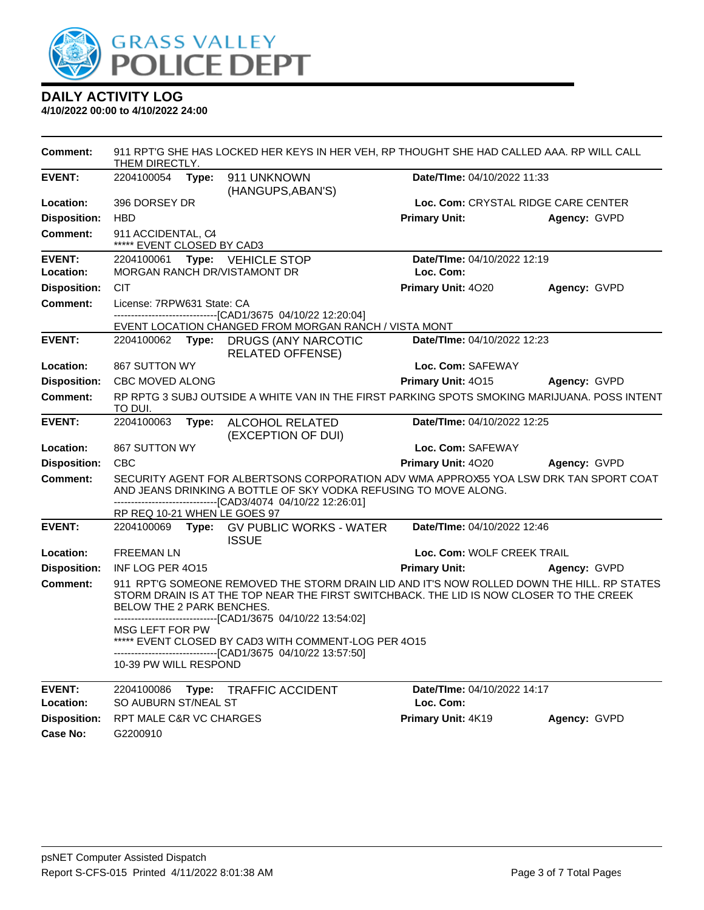

| Comment:            | THEM DIRECTLY.                                                                                                                                                                                                                                                                     |       | 911 RPT'G SHE HAS LOCKED HER KEYS IN HER VEH, RP THOUGHT SHE HAD CALLED AAA. RP WILL CALL                             |                                     |              |  |
|---------------------|------------------------------------------------------------------------------------------------------------------------------------------------------------------------------------------------------------------------------------------------------------------------------------|-------|-----------------------------------------------------------------------------------------------------------------------|-------------------------------------|--------------|--|
| <b>EVENT:</b>       | 2204100054 Type:                                                                                                                                                                                                                                                                   |       | 911 UNKNOWN<br>(HANGUPS, ABAN'S)                                                                                      | Date/TIme: 04/10/2022 11:33         |              |  |
| Location:           | 396 DORSEY DR                                                                                                                                                                                                                                                                      |       |                                                                                                                       | Loc. Com: CRYSTAL RIDGE CARE CENTER |              |  |
| <b>Disposition:</b> | <b>HBD</b>                                                                                                                                                                                                                                                                         |       |                                                                                                                       | <b>Primary Unit:</b>                | Agency: GVPD |  |
| <b>Comment:</b>     | 911 ACCIDENTAL, C4<br>***** EVENT CLOSED BY CAD3                                                                                                                                                                                                                                   |       |                                                                                                                       |                                     |              |  |
| <b>EVENT:</b>       |                                                                                                                                                                                                                                                                                    |       | 2204100061 Type: VEHICLE STOP                                                                                         | Date/TIme: 04/10/2022 12:19         |              |  |
| Location:           |                                                                                                                                                                                                                                                                                    |       | MORGAN RANCH DR/VISTAMONT DR                                                                                          | Loc. Com:                           |              |  |
| <b>Disposition:</b> | <b>CIT</b>                                                                                                                                                                                                                                                                         |       |                                                                                                                       | Primary Unit: 4020                  | Agency: GVPD |  |
| <b>Comment:</b>     | License: 7RPW631 State: CA                                                                                                                                                                                                                                                         |       |                                                                                                                       |                                     |              |  |
|                     |                                                                                                                                                                                                                                                                                    |       | -------------------------------[CAD1/3675 04/10/22 12:20:04]<br>EVENT LOCATION CHANGED FROM MORGAN RANCH / VISTA MONT |                                     |              |  |
| <b>EVENT:</b>       |                                                                                                                                                                                                                                                                                    |       | 2204100062 Type: DRUGS (ANY NARCOTIC<br><b>RELATED OFFENSE)</b>                                                       | Date/TIme: 04/10/2022 12:23         |              |  |
| Location:           | 867 SUTTON WY                                                                                                                                                                                                                                                                      |       |                                                                                                                       | Loc. Com: SAFEWAY                   |              |  |
| <b>Disposition:</b> | CBC MOVED ALONG                                                                                                                                                                                                                                                                    |       |                                                                                                                       | Primary Unit: 4015                  | Agency: GVPD |  |
| <b>Comment:</b>     | RP RPTG 3 SUBJ OUTSIDE A WHITE VAN IN THE FIRST PARKING SPOTS SMOKING MARIJUANA. POSS INTENT<br>TO DUI.                                                                                                                                                                            |       |                                                                                                                       |                                     |              |  |
| <b>EVENT:</b>       | 2204100063                                                                                                                                                                                                                                                                         |       | Type: ALCOHOL RELATED<br>(EXCEPTION OF DUI)                                                                           | Date/TIme: 04/10/2022 12:25         |              |  |
| Location:           | 867 SUTTON WY                                                                                                                                                                                                                                                                      |       |                                                                                                                       | Loc. Com: SAFEWAY                   |              |  |
| <b>Disposition:</b> | <b>CBC</b>                                                                                                                                                                                                                                                                         |       |                                                                                                                       | Primary Unit: 4020                  | Agency: GVPD |  |
| <b>Comment:</b>     | SECURITY AGENT FOR ALBERTSONS CORPORATION ADV WMA APPROX55 YOA LSW DRK TAN SPORT COAT<br>AND JEANS DRINKING A BOTTLE OF SKY VODKA REFUSING TO MOVE ALONG.<br>--------------------------------[CAD3/4074 04/10/22 12:26:01]                                                         |       |                                                                                                                       |                                     |              |  |
|                     | RP REQ 10-21 WHEN LE GOES 97                                                                                                                                                                                                                                                       |       |                                                                                                                       |                                     |              |  |
| <b>EVENT:</b>       |                                                                                                                                                                                                                                                                                    |       | 2204100069 Type: GV PUBLIC WORKS - WATER<br><b>ISSUE</b>                                                              | Date/TIme: 04/10/2022 12:46         |              |  |
| Location:           | <b>FREEMAN LN</b>                                                                                                                                                                                                                                                                  |       |                                                                                                                       | Loc. Com: WOLF CREEK TRAIL          |              |  |
| <b>Disposition:</b> | INF LOG PER 4015                                                                                                                                                                                                                                                                   |       |                                                                                                                       | <b>Primary Unit:</b>                | Agency: GVPD |  |
| <b>Comment:</b>     | 911 RPT'G SOMEONE REMOVED THE STORM DRAIN LID AND IT'S NOW ROLLED DOWN THE HILL. RP STATES<br>STORM DRAIN IS AT THE TOP NEAR THE FIRST SWITCHBACK. THE LID IS NOW CLOSER TO THE CREEK<br>BELOW THE 2 PARK BENCHES.<br>-------------------------------[CAD1/3675 04/10/22 13:54:02] |       |                                                                                                                       |                                     |              |  |
|                     | MSG LEFT FOR PW<br>10-39 PW WILL RESPOND                                                                                                                                                                                                                                           |       | ***** EVENT CLOSED BY CAD3 WITH COMMENT-LOG PER 4015<br>-------------------------------[CAD1/3675 04/10/22 13:57:50]  |                                     |              |  |
|                     |                                                                                                                                                                                                                                                                                    |       |                                                                                                                       |                                     |              |  |
| <b>EVENT:</b>       | 2204100086                                                                                                                                                                                                                                                                         | Type: | <b>TRAFFIC ACCIDENT</b>                                                                                               | Date/TIme: 04/10/2022 14:17         |              |  |
| Location:           | SO AUBURN ST/NEAL ST                                                                                                                                                                                                                                                               |       |                                                                                                                       | Loc. Com:                           |              |  |
| <b>Disposition:</b> | RPT MALE C&R VC CHARGES                                                                                                                                                                                                                                                            |       |                                                                                                                       | Primary Unit: 4K19                  | Agency: GVPD |  |
| <b>Case No:</b>     | G2200910                                                                                                                                                                                                                                                                           |       |                                                                                                                       |                                     |              |  |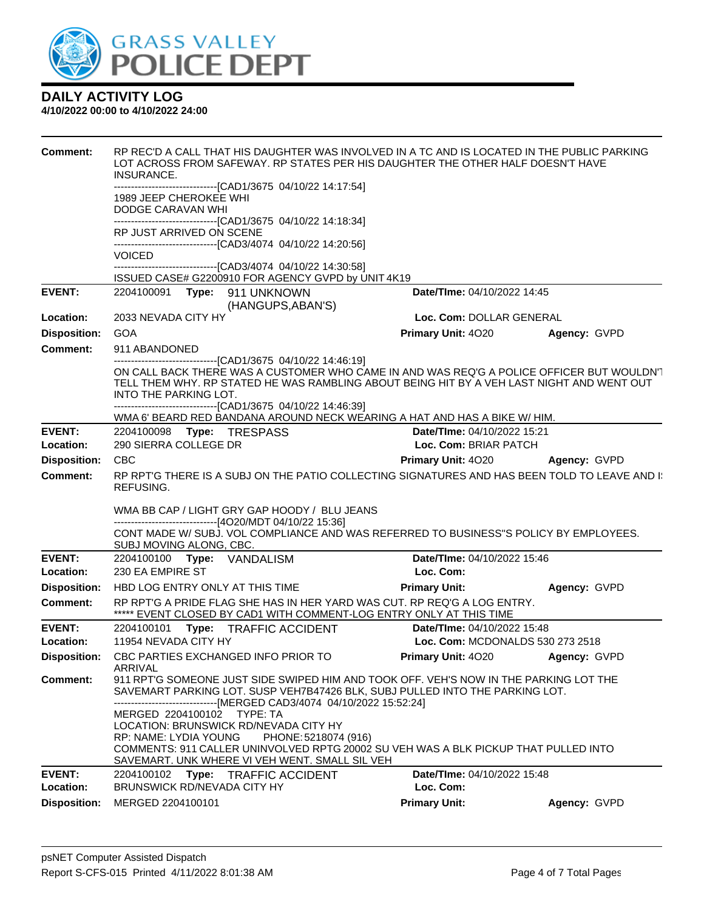

| <b>Comment:</b>     | RP REC'D A CALL THAT HIS DAUGHTER WAS INVOLVED IN A TC AND IS LOCATED IN THE PUBLIC PARKING<br>LOT ACROSS FROM SAFEWAY. RP STATES PER HIS DAUGHTER THE OTHER HALF DOESN'T HAVE<br>INSURANCE.                                                  |                                 |                     |  |  |
|---------------------|-----------------------------------------------------------------------------------------------------------------------------------------------------------------------------------------------------------------------------------------------|---------------------------------|---------------------|--|--|
|                     | -------------------------------[CAD1/3675 04/10/22 14:17:54]<br>1989 JEEP CHEROKEE WHI                                                                                                                                                        |                                 |                     |  |  |
|                     | DODGE CARAVAN WHI                                                                                                                                                                                                                             |                                 |                     |  |  |
|                     | ------------------------------[CAD1/3675 04/10/22 14:18:34]                                                                                                                                                                                   |                                 |                     |  |  |
|                     | RP JUST ARRIVED ON SCENE<br>-------------------------------[CAD3/4074 04/10/22 14:20:56]                                                                                                                                                      |                                 |                     |  |  |
|                     | <b>VOICED</b>                                                                                                                                                                                                                                 |                                 |                     |  |  |
|                     | --------------------------------[CAD3/4074 04/10/22 14:30:58]<br>ISSUED CASE# G2200910 FOR AGENCY GVPD by UNIT 4K19                                                                                                                           |                                 |                     |  |  |
| <b>EVENT:</b>       | 2204100091    Type: 911    UNKNOWN                                                                                                                                                                                                            | Date/TIme: 04/10/2022 14:45     |                     |  |  |
|                     | (HANGUPS, ABAN'S)                                                                                                                                                                                                                             |                                 |                     |  |  |
| Location:           | 2033 NEVADA CITY HY                                                                                                                                                                                                                           | Loc. Com: DOLLAR GENERAL        |                     |  |  |
| <b>Disposition:</b> | <b>GOA</b>                                                                                                                                                                                                                                    | <b>Primary Unit: 4020</b>       | <b>Agency: GVPD</b> |  |  |
| <b>Comment:</b>     | 911 ABANDONED<br>-------------------------------[CAD1/3675 04/10/22 14:46:19]                                                                                                                                                                 |                                 |                     |  |  |
|                     | ON CALL BACK THERE WAS A CUSTOMER WHO CAME IN AND WAS REQ'G A POLICE OFFICER BUT WOULDN'T<br>TELL THEM WHY. RP STATED HE WAS RAMBLING ABOUT BEING HIT BY A VEH LAST NIGHT AND WENT OUT<br>INTO THE PARKING LOT.                               |                                 |                     |  |  |
|                     | ------------------------------[CAD1/3675 04/10/22 14:46:39]<br>WMA 6' BEARD RED BANDANA AROUND NECK WEARING A HAT AND HAS A BIKE W/ HIM.                                                                                                      |                                 |                     |  |  |
| <b>EVENT:</b>       | 2204100098 Type: TRESPASS                                                                                                                                                                                                                     | Date/TIme: 04/10/2022 15:21     |                     |  |  |
| Location:           | 290 SIERRA COLLEGE DR<br>Loc. Com: BRIAR PATCH                                                                                                                                                                                                |                                 |                     |  |  |
| <b>Disposition:</b> | <b>CBC</b>                                                                                                                                                                                                                                    | Primary Unit: 4020 Agency: GVPD |                     |  |  |
| Comment:            | RP RPT'G THERE IS A SUBJ ON THE PATIO COLLECTING SIGNATURES AND HAS BEEN TOLD TO LEAVE AND II<br><b>REFUSING.</b>                                                                                                                             |                                 |                     |  |  |
|                     | WMA BB CAP / LIGHT GRY GAP HOODY / BLU JEANS                                                                                                                                                                                                  |                                 |                     |  |  |
|                     | -------------------------------[4O20/MDT 04/10/22 15:36]<br>CONT MADE W/SUBJ. VOL COMPLIANCE AND WAS REFERRED TO BUSINESS"S POLICY BY EMPLOYEES.<br>SUBJ MOVING ALONG, CBC.                                                                   |                                 |                     |  |  |
| <b>EVENT:</b>       | 2204100100 Type: VANDALISM                                                                                                                                                                                                                    | Date/TIme: 04/10/2022 15:46     |                     |  |  |
| Location:           | 230 EA EMPIRE ST                                                                                                                                                                                                                              | Loc. Com:                       |                     |  |  |
| <b>Disposition:</b> | HBD LOG ENTRY ONLY AT THIS TIME                                                                                                                                                                                                               | <b>Primary Unit:</b>            | Agency: GVPD        |  |  |
| <b>Comment:</b>     | RP RPT'G A PRIDE FLAG SHE HAS IN HER YARD WAS CUT. RP REQ'G A LOG ENTRY.<br>***** EVENT CLOSED BY CAD1 WITH COMMENT-LOG ENTRY ONLY AT THIS TIME                                                                                               |                                 |                     |  |  |
| <b>EVENT:</b>       | 2204100101 Type: TRAFFIC ACCIDENT                                                                                                                                                                                                             | Date/TIme: 04/10/2022 15:48     |                     |  |  |
| Location:           | 11954 NEVADA CITY HY<br>Loc. Com: MCDONALDS 530 273 2518                                                                                                                                                                                      |                                 |                     |  |  |
| <b>Disposition:</b> | CBC PARTIES EXCHANGED INFO PRIOR TO<br>ARRIVAL                                                                                                                                                                                                | Primary Unit: 4020 Agency: GVPD |                     |  |  |
| Comment:            | 911 RPT'G SOMEONE JUST SIDE SWIPED HIM AND TOOK OFF. VEH'S NOW IN THE PARKING LOT THE<br>SAVEMART PARKING LOT. SUSP VEH7B47426 BLK, SUBJ PULLED INTO THE PARKING LOT.<br>------------------------------[MERGED CAD3/4074 04/10/2022 15:52:24] |                                 |                     |  |  |
|                     | MERGED 2204100102 TYPE: TA<br>LOCATION: BRUNSWICK RD/NEVADA CITY HY<br>RP: NAME: LYDIA YOUNG<br>PHONE: 5218074 (916)                                                                                                                          |                                 |                     |  |  |
|                     | COMMENTS: 911 CALLER UNINVOLVED RPTG 20002 SU VEH WAS A BLK PICKUP THAT PULLED INTO<br>SAVEMART. UNK WHERE VI VEH WENT. SMALL SIL VEH                                                                                                         |                                 |                     |  |  |
| <b>EVENT:</b>       | 2204100102 Type: TRAFFIC ACCIDENT                                                                                                                                                                                                             | Date/TIme: 04/10/2022 15:48     |                     |  |  |
| Location:           | BRUNSWICK RD/NEVADA CITY HY                                                                                                                                                                                                                   | Loc. Com:                       |                     |  |  |
| <b>Disposition:</b> | MERGED 2204100101                                                                                                                                                                                                                             | <b>Primary Unit:</b>            | Agency: GVPD        |  |  |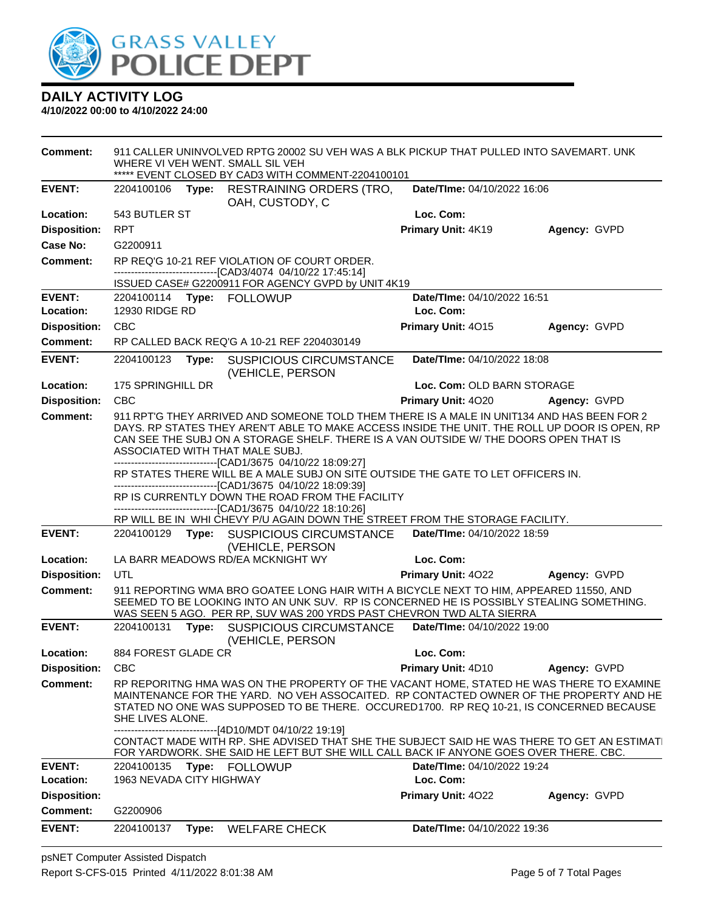

**4/10/2022 00:00 to 4/10/2022 24:00**

**Comment:** 911 CALLER UNINVOLVED RPTG 20002 SU VEH WAS A BLK PICKUP THAT PULLED INTO SAVEMART. UNK WHERE VI VEH WENT. SMALL SIL VEH \*\*\*\*\* EVENT CLOSED BY CAD3 WITH COMMENT-2204100101 **EVENT:** 2204100106 **Type:** RESTRAINING ORDERS (TRO, OAH, CUSTODY, C **Date/TIme:** 04/10/2022 16:06 **Location:** 543 BUTLER ST **Loc. Com: Disposition:** RPT **Primary Unit:** 4K19 **Agency:** GVPD **Case No:** G2200911 **Comment:** RP REQ'G 10-21 REF VIOLATION OF COURT ORDER. ------------------------------[CAD3/4074 04/10/22 17:45:14] ISSUED CASE# G2200911 FOR AGENCY GVPD by UNIT 4K19 **EVENT:** 2204100114 **Type:** FOLLOWUP **Date/TIme:** 04/10/2022 16:51 **Location:** 12930 RIDGE RD **Loc. Com: Disposition:** CBC **Primary Unit:** 4O15 **Agency:** GVPD **Comment:** RP CALLED BACK REQ'G A 10-21 REF 2204030149 **EVENT:** 2204100123 **Type:** SUSPICIOUS CIRCUMSTANCE (VEHICLE, PERSON **Date/TIme:** 04/10/2022 18:08 **Location:** 175 SPRINGHILL DR **Loc. Com:** OLD BARN STORAGE **Disposition:** CBC **Primary Unit:** 4O20 **Agency:** GVPD Comment: 911 RPT'G THEY ARRIVED AND SOMEONE TOLD THEM THERE IS A MALE IN UNIT134 AND HAS BEEN FOR 2 DAYS. RP STATES THEY AREN'T ABLE TO MAKE ACCESS INSIDE THE UNIT. THE ROLL UP DOOR IS OPEN, RP CAN SEE THE SUBJ ON A STORAGE SHELF. THERE IS A VAN OUTSIDE W/ THE DOORS OPEN THAT IS ASSOCIATED WITH THAT MALE SUBJ. ------------------------------[CAD1/3675 04/10/22 18:09:27] RP STATES THERE WILL BE A MALE SUBJ ON SITE OUTSIDE THE GATE TO LET OFFICERS IN. ------------------------------[CAD1/3675 04/10/22 18:09:39] RP IS CURRENTLY DOWN THE ROAD FROM THE FACILITY ------------------------------[CAD1/3675 04/10/22 18:10:26] RP WILL BE IN WHI CHEVY P/U AGAIN DOWN THE STREET FROM THE STORAGE FACILITY. **EVENT:** 2204100129 **Type:** SUSPICIOUS CIRCUMSTANCE (VEHICLE, PERSON **Date/TIme:** 04/10/2022 18:59 **Location:** LA BARR MEADOWS RD/EA MCKNIGHT WY **Loc. Com: Disposition:** UTL **Primary Unit:** 4O22 **Agency:** GVPD **Comment:** 911 REPORTING WMA BRO GOATEE LONG HAIR WITH A BICYCLE NEXT TO HIM, APPEARED 11550, AND SEEMED TO BE LOOKING INTO AN UNK SUV. RP IS CONCERNED HE IS POSSIBLY STEALING SOMETHING. WAS SEEN 5 AGO. PER RP, SUV WAS 200 YRDS PAST CHEVRON TWD ALTA SIERRA **EVENT:** 2204100131 **Type:** SUSPICIOUS CIRCUMSTANCE (VEHICLE, PERSON **Date/TIme:** 04/10/2022 19:00 **Location:** 884 FOREST GLADE CR **Loc. Com: Disposition:** CBC **Primary Unit:** 4D10 **Agency:** GVPD **Comment:** RP REPORITNG HMA WAS ON THE PROPERTY OF THE VACANT HOME, STATED HE WAS THERE TO EXAMINE MAINTENANCE FOR THE YARD. NO VEH ASSOCAITED. RP CONTACTED OWNER OF THE PROPERTY AND HE STATED NO ONE WAS SUPPOSED TO BE THERE. OCCURED1700. RP REQ 10-21, IS CONCERNED BECAUSE SHE LIVES ALONE. ------------------------------[4D10/MDT 04/10/22 19:19] CONTACT MADE WITH RP. SHE ADVISED THAT SHE THE SUBJECT SAID HE WAS THERE TO GET AN ESTIMATE FOR YARDWORK. SHE SAID HE LEFT BUT SHE WILL CALL BACK IF ANYONE GOES OVER THERE. CBC. **EVENT:** 2204100135 **Type:** FOLLOWUP **Date/TIme:** 04/10/2022 19:24 **Location:** 1963 NEVADA CITY HIGHWAY **Loc. Com: Disposition: Primary Unit:** 4O22 **Agency:** GVPD **Comment:** G2200906 **EVENT:** 2204100137 **Type:** WELFARE CHECK **Date/TIme:** 04/10/2022 19:36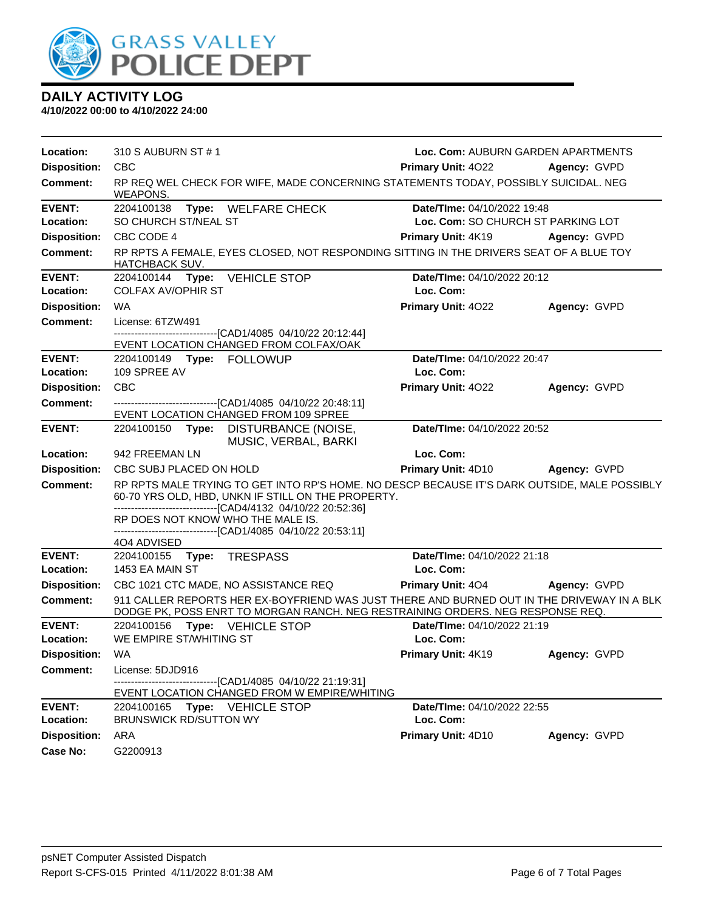

| Location:                  | 310 S AUBURN ST # 1                                                                                                                                                          | Loc. Com: AUBURN GARDEN APARTMENTS       |              |
|----------------------------|------------------------------------------------------------------------------------------------------------------------------------------------------------------------------|------------------------------------------|--------------|
| <b>Disposition:</b>        | <b>CBC</b>                                                                                                                                                                   | <b>Primary Unit: 4022</b>                | Agency: GVPD |
| <b>Comment:</b>            | RP REQ WEL CHECK FOR WIFE, MADE CONCERNING STATEMENTS TODAY, POSSIBLY SUICIDAL. NEG<br>WEAPONS.                                                                              |                                          |              |
| <b>EVENT:</b>              | Type: WELFARE CHECK<br>2204100138                                                                                                                                            | Date/TIme: 04/10/2022 19:48              |              |
| Location:                  | SO CHURCH ST/NEAL ST                                                                                                                                                         | Loc. Com: SO CHURCH ST PARKING LOT       |              |
| <b>Disposition:</b>        | CBC CODE 4                                                                                                                                                                   | <b>Primary Unit: 4K19</b>                | Agency: GVPD |
| <b>Comment:</b>            | RP RPTS A FEMALE, EYES CLOSED, NOT RESPONDING SITTING IN THE DRIVERS SEAT OF A BLUE TOY<br><b>HATCHBACK SUV.</b>                                                             |                                          |              |
| <b>EVENT:</b>              | 2204100144 Type:<br><b>VEHICLE STOP</b>                                                                                                                                      | Date/TIme: 04/10/2022 20:12              |              |
| Location:                  | <b>COLFAX AV/OPHIR ST</b>                                                                                                                                                    | Loc. Com:                                |              |
| <b>Disposition:</b>        | WA                                                                                                                                                                           | Primary Unit: 4022                       | Agency: GVPD |
| <b>Comment:</b>            | License: 6TZW491                                                                                                                                                             |                                          |              |
|                            | -------------------------------[CAD1/4085 04/10/22 20:12:44]<br>EVENT LOCATION CHANGED FROM COLFAX/OAK                                                                       |                                          |              |
| <b>EVENT:</b>              |                                                                                                                                                                              | Date/TIme: 04/10/2022 20:47              |              |
| Location:                  | 109 SPREE AV                                                                                                                                                                 | Loc. Com:                                |              |
| <b>Disposition:</b>        | CBC                                                                                                                                                                          | Primary Unit: 4022                       | Agency: GVPD |
| <b>Comment:</b>            | ------------------------------[CAD1/4085 04/10/22 20:48:11]                                                                                                                  |                                          |              |
|                            | EVENT LOCATION CHANGED FROM 109 SPREE                                                                                                                                        |                                          |              |
| <b>EVENT:</b>              | 2204100150<br>Type: DISTURBANCE (NOISE,<br>MUSIC, VERBAL, BARKI                                                                                                              | Date/TIme: 04/10/2022 20:52              |              |
| Location:                  | 942 FREEMAN LN                                                                                                                                                               | Loc. Com:                                |              |
| <b>Disposition:</b>        | CBC SUBJ PLACED ON HOLD                                                                                                                                                      | <b>Primary Unit: 4D10</b>                | Agency: GVPD |
| <b>Comment:</b>            | RP RPTS MALE TRYING TO GET INTO RP'S HOME. NO DESCP BECAUSE IT'S DARK OUTSIDE, MALE POSSIBLY                                                                                 |                                          |              |
|                            | 60-70 YRS OLD, HBD, UNKN IF STILL ON THE PROPERTY.<br>-------------------------------[CAD4/4132 04/10/22 20:52:36]                                                           |                                          |              |
|                            | RP DOES NOT KNOW WHO THE MALE IS.                                                                                                                                            |                                          |              |
|                            | -------------------------------[CAD1/4085_04/10/22 20:53:11]                                                                                                                 |                                          |              |
|                            | 404 ADVISED                                                                                                                                                                  |                                          |              |
| <b>EVENT:</b><br>Location: | 2204100155 Type: TRESPASS<br>1453 EA MAIN ST                                                                                                                                 | Date/TIme: 04/10/2022 21:18<br>Loc. Com: |              |
|                            |                                                                                                                                                                              |                                          |              |
| <b>Disposition:</b>        | CBC 1021 CTC MADE, NO ASSISTANCE REQ                                                                                                                                         | <b>Primary Unit: 404</b>                 | Agency: GVPD |
| <b>Comment:</b>            | 911 CALLER REPORTS HER EX-BOYFRIEND WAS JUST THERE AND BURNED OUT IN THE DRIVEWAY IN A BLK<br>DODGE PK, POSS ENRT TO MORGAN RANCH. NEG RESTRAINING ORDERS. NEG RESPONSE REQ. |                                          |              |
| <b>EVENT:</b>              | 2204100156<br>Type: VEHICLE STOP                                                                                                                                             | Date/TIme: 04/10/2022 21:19              |              |
| <b>Location:</b>           | WE EMPIRE ST/WHITING ST                                                                                                                                                      | Loc. Com:                                |              |
| <b>Disposition: WA</b>     |                                                                                                                                                                              | Primary Unit: 4K19                       | Agency: GVPD |
| Comment:                   | License: 5DJD916                                                                                                                                                             |                                          |              |
|                            | -------------------------------[CAD1/4085 04/10/22 21:19:31]<br>EVENT LOCATION CHANGED FROM W EMPIRE/WHITING                                                                 |                                          |              |
| <b>EVENT:</b>              | Type: VEHICLE STOP<br>2204100165                                                                                                                                             | Date/TIme: 04/10/2022 22:55              |              |
| Location:                  | <b>BRUNSWICK RD/SUTTON WY</b>                                                                                                                                                | Loc. Com:                                |              |
| <b>Disposition:</b>        | ARA                                                                                                                                                                          | Primary Unit: 4D10                       | Agency: GVPD |
| <b>Case No:</b>            | G2200913                                                                                                                                                                     |                                          |              |